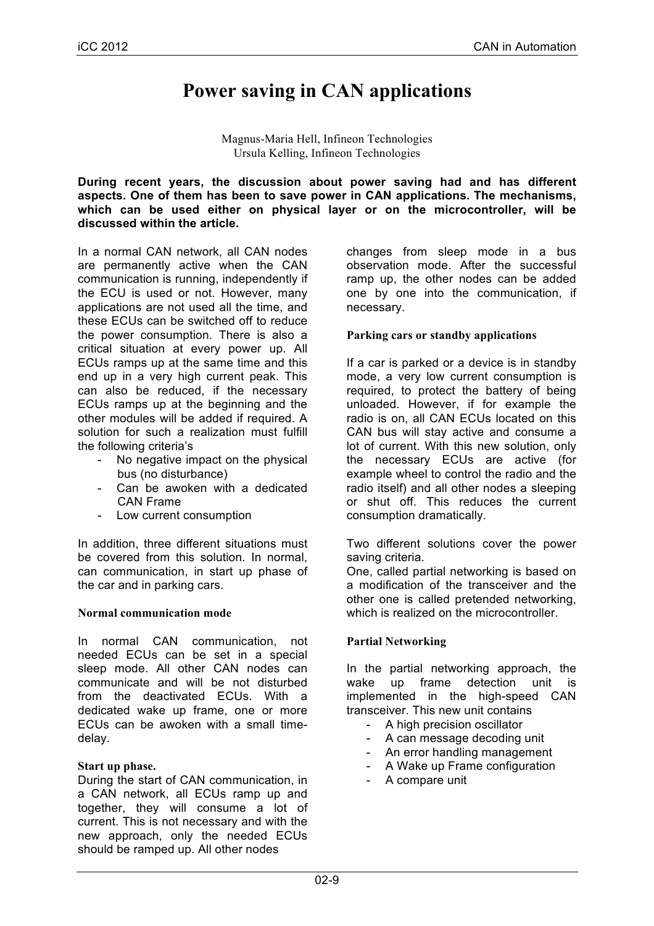# **Power saving in CAN applications**

Magnus-Maria Hell, Infineon Technologies Ursula Kelling, Infineon Technologies

**During recent years, the discussion about power saving had and has different aspects. One of them has been to save power in CAN applications. The mechanisms, which can be used either on physical layer or on the microcontroller, will be discussed within the article.**

In a normal CAN network, all CAN nodes are permanently active when the CAN communication is running, independently if the ECU is used or not. However, many applications are not used all the time, and these ECUs can be switched off to reduce the power consumption. There is also a critical situation at every power up. All ECUs ramps up at the same time and this end up in a very high current peak. This can also be reduced, if the necessary ECUs ramps up at the beginning and the other modules will be added if required. A solution for such a realization must fulfill the following criteria's

- No negative impact on the physical bus (no disturbance)
- Can be awoken with a dedicated CAN Frame
- Low current consumption

In addition, three different situations must be covered from this solution. In normal, can communication, in start up phase of the car and in parking cars.

#### **Normal communication mode**

In normal CAN communication, not needed ECUs can be set in a special sleep mode. All other CAN nodes can communicate and will be not disturbed from the deactivated ECUs. With a dedicated wake up frame, one or more ECUs can be awoken with a small timedelay.

#### **Start up phase.**

During the start of CAN communication, in a CAN network, all ECUs ramp up and together, they will consume a lot of current. This is not necessary and with the new approach, only the needed ECUs should be ramped up. All other nodes

changes from sleep mode in a bus observation mode. After the successful ramp up, the other nodes can be added one by one into the communication, if necessary.

#### **Parking cars or standby applications**

If a car is parked or a device is in standby mode, a very low current consumption is required, to protect the battery of being unloaded. However, if for example the radio is on, all CAN ECUs located on this CAN bus will stay active and consume a lot of current. With this new solution, only the necessary ECUs are active (for example wheel to control the radio and the radio itself) and all other nodes a sleeping or shut off. This reduces the current consumption dramatically.

Two different solutions cover the power saving criteria.

One, called partial networking is based on a modification of the transceiver and the other one is called pretended networking, which is realized on the microcontroller.

#### **Partial Networking**

In the partial networking approach, the wake up frame detection unit is implemented in the high-speed CAN transceiver. This new unit contains

- A high precision oscillator
- A can message decoding unit
- An error handling management
- A Wake up Frame configuration
- A compare unit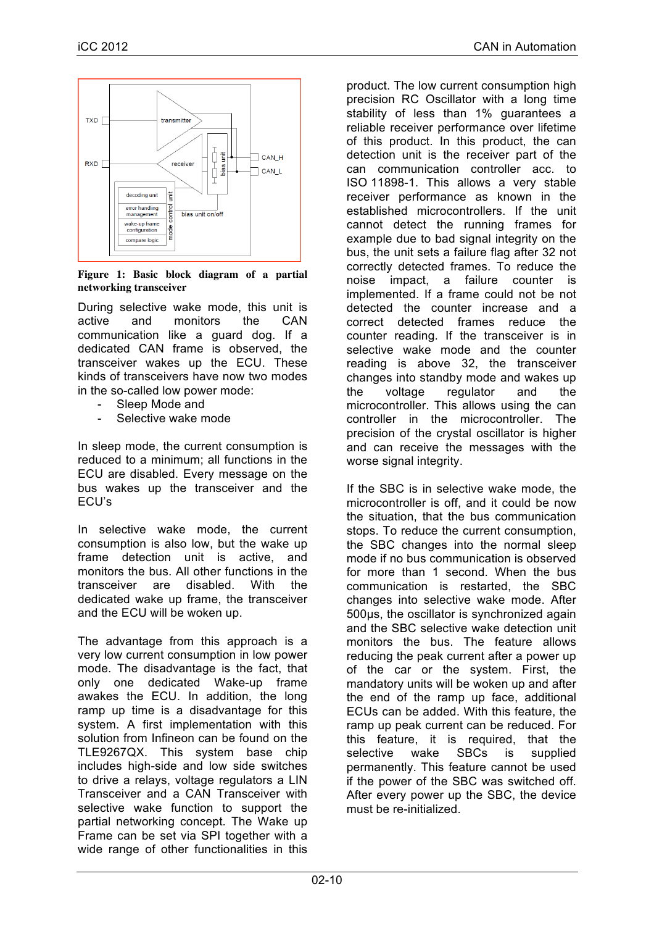

**Figure 1: Basic block diagram of a partial networking transceiver**

During selective wake mode, this unit is active and monitors the CAN communication like a guard dog. If a dedicated CAN frame is observed, the transceiver wakes up the ECU. These kinds of transceivers have now two modes in the so-called low power mode:

- Sleep Mode and
- Selective wake mode

In sleep mode, the current consumption is reduced to a minimum; all functions in the ECU are disabled. Every message on the bus wakes up the transceiver and the ECU's

In selective wake mode, the current consumption is also low, but the wake up frame detection unit is active, and monitors the bus. All other functions in the transceiver are disabled. With the dedicated wake up frame, the transceiver and the ECU will be woken up.

The advantage from this approach is a very low current consumption in low power mode. The disadvantage is the fact, that only one dedicated Wake-up frame awakes the ECU. In addition, the long ramp up time is a disadvantage for this system. A first implementation with this solution from Infineon can be found on the TLE9267QX. This system base chip includes high-side and low side switches to drive a relays, voltage regulators a LIN Transceiver and a CAN Transceiver with selective wake function to support the partial networking concept. The Wake up Frame can be set via SPI together with a wide range of other functionalities in this

product. The low current consumption high precision RC Oscillator with a long time stability of less than 1% guarantees a reliable receiver performance over lifetime of this product. In this product, the can detection unit is the receiver part of the can communication controller acc. to ISO 11898-1. This allows a very stable receiver performance as known in the established microcontrollers. If the unit cannot detect the running frames for example due to bad signal integrity on the bus, the unit sets a failure flag after 32 not correctly detected frames. To reduce the noise impact, a failure counter is implemented. If a frame could not be not detected the counter increase and a correct detected frames reduce the counter reading. If the transceiver is in selective wake mode and the counter reading is above 32, the transceiver changes into standby mode and wakes up the voltage regulator and the microcontroller. This allows using the can controller in the microcontroller. The precision of the crystal oscillator is higher and can receive the messages with the worse signal integrity.

If the SBC is in selective wake mode, the microcontroller is off, and it could be now the situation, that the bus communication stops. To reduce the current consumption, the SBC changes into the normal sleep mode if no bus communication is observed for more than 1 second. When the bus communication is restarted, the SBC changes into selective wake mode. After 500µs, the oscillator is synchronized again and the SBC selective wake detection unit monitors the bus. The feature allows reducing the peak current after a power up of the car or the system. First, the mandatory units will be woken up and after the end of the ramp up face, additional ECUs can be added. With this feature, the ramp up peak current can be reduced. For this feature, it is required, that the selective wake SBCs is supplied permanently. This feature cannot be used if the power of the SBC was switched off. After every power up the SBC, the device must be re-initialized.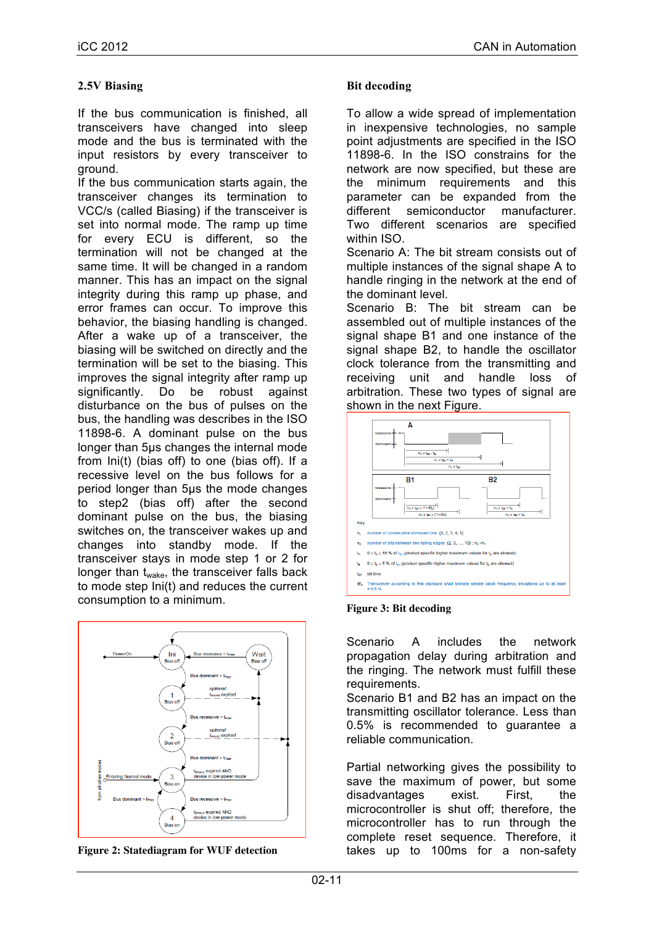## **2.5V Biasing**

If the bus communication is finished, all transceivers have changed into sleep mode and the bus is terminated with the input resistors by every transceiver to ground.

If the bus communication starts again, the transceiver changes its termination to VCC/s (called Biasing) if the transceiver is set into normal mode. The ramp up time for every ECU is different, so the termination will not be changed at the same time. It will be changed in a random manner. This has an impact on the signal integrity during this ramp up phase, and error frames can occur. To improve this behavior, the biasing handling is changed. After a wake up of a transceiver, the biasing will be switched on directly and the termination will be set to the biasing. This improves the signal integrity after ramp up significantly. Do be robust against disturbance on the bus of pulses on the bus, the handling was describes in the ISO 11898-6. A dominant pulse on the bus longer than 5µs changes the internal mode from Ini(t) (bias off) to one (bias off). If a recessive level on the bus follows for a period longer than 5µs the mode changes to step2 (bias off) after the second dominant pulse on the bus, the biasing switches on, the transceiver wakes up and changes into standby mode. If the transceiver stays in mode step 1 or 2 for longer than t<sub>wake</sub>, the transceiver falls back to mode step Ini(t) and reduces the current consumption to a minimum.



**Figure 2: Statediagram for WUF detection**

#### **Bit decoding**

To allow a wide spread of implementation in inexpensive technologies, no sample point adjustments are specified in the ISO 11898-6. In the ISO constrains for the network are now specified, but these are the minimum requirements and this parameter can be expanded from the different semiconductor manufacturer. Two different scenarios are specified within ISO.

Scenario A: The bit stream consists out of multiple instances of the signal shape A to handle ringing in the network at the end of the dominant level.

Scenario B: The bit stream can be assembled out of multiple instances of the signal shape B1 and one instance of the signal shape B2, to handle the oscillator clock tolerance from the transmitting and receiving unit and handle loss of arbitration. These two types of signal are shown in the next Figure.



**Figure 3: Bit decoding**

Scenario A includes the network propagation delay during arbitration and the ringing. The network must fulfill these requirements.

Scenario B1 and B2 has an impact on the transmitting oscillator tolerance. Less than 0.5% is recommended to guarantee a reliable communication.

Partial networking gives the possibility to save the maximum of power, but some disadvantages exist. First, the microcontroller is shut off; therefore, the microcontroller has to run through the complete reset sequence. Therefore, it takes up to 100ms for a non-safety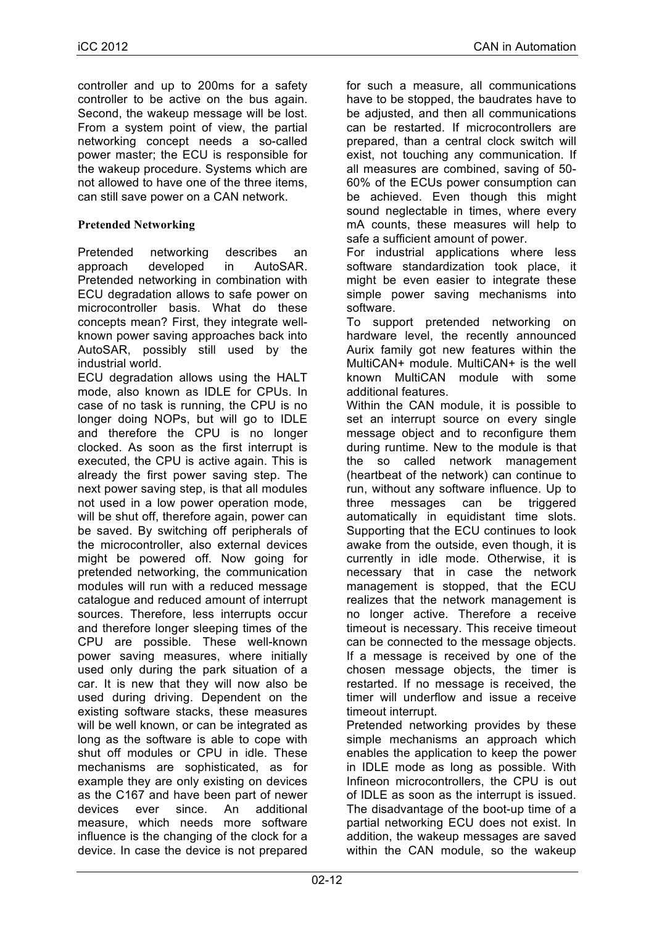controller and up to 200ms for a safety controller to be active on the bus again. Second, the wakeup message will be lost. From a system point of view, the partial networking concept needs a so-called power master; the ECU is responsible for the wakeup procedure. Systems which are not allowed to have one of the three items, can still save power on a CAN network.

## **Pretended Networking**

Pretended networking describes an approach developed in AutoSAR. Pretended networking in combination with ECU degradation allows to safe power on microcontroller basis. What do these concepts mean? First, they integrate wellknown power saving approaches back into AutoSAR, possibly still used by the industrial world.

ECU degradation allows using the HALT mode, also known as IDLE for CPUs. In case of no task is running, the CPU is no longer doing NOPs, but will go to IDLE and therefore the CPU is no longer clocked. As soon as the first interrupt is executed, the CPU is active again. This is already the first power saving step. The next power saving step, is that all modules not used in a low power operation mode, will be shut off, therefore again, power can be saved. By switching off peripherals of the microcontroller, also external devices might be powered off. Now going for pretended networking, the communication modules will run with a reduced message catalogue and reduced amount of interrupt sources. Therefore, less interrupts occur and therefore longer sleeping times of the CPU are possible. These well-known power saving measures, where initially used only during the park situation of a car. It is new that they will now also be used during driving. Dependent on the existing software stacks, these measures will be well known, or can be integrated as long as the software is able to cope with shut off modules or CPU in idle. These mechanisms are sophisticated, as for example they are only existing on devices as the C167 and have been part of newer devices ever since. An additional measure, which needs more software influence is the changing of the clock for a device. In case the device is not prepared

for such a measure, all communications have to be stopped, the baudrates have to be adjusted, and then all communications can be restarted. If microcontrollers are prepared, than a central clock switch will exist, not touching any communication. If all measures are combined, saving of 50- 60% of the ECUs power consumption can be achieved. Even though this might sound neglectable in times, where every mA counts, these measures will help to safe a sufficient amount of power.

For industrial applications where less software standardization took place, it might be even easier to integrate these simple power saving mechanisms into software.

To support pretended networking on hardware level, the recently announced Aurix family got new features within the MultiCAN+ module. MultiCAN+ is the well known MultiCAN module with some additional features.

Within the CAN module, it is possible to set an interrupt source on every single message object and to reconfigure them during runtime. New to the module is that the so called network management (heartbeat of the network) can continue to run, without any software influence. Up to three messages can be triggered automatically in equidistant time slots. Supporting that the ECU continues to look awake from the outside, even though, it is currently in idle mode. Otherwise, it is necessary that in case the network management is stopped, that the ECU realizes that the network management is no longer active. Therefore a receive timeout is necessary. This receive timeout can be connected to the message objects. If a message is received by one of the chosen message objects, the timer is restarted. If no message is received, the timer will underflow and issue a receive timeout interrupt.

Pretended networking provides by these simple mechanisms an approach which enables the application to keep the power in IDLE mode as long as possible. With Infineon microcontrollers, the CPU is out of IDLE as soon as the interrupt is issued. The disadvantage of the boot-up time of a partial networking ECU does not exist. In addition, the wakeup messages are saved within the CAN module, so the wakeup